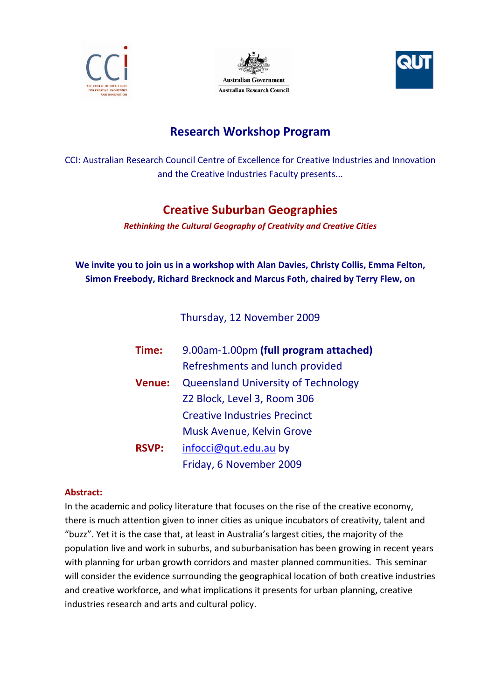





# **Research Workshop Program**

CCI: Australian Research Council Centre of Excellence for Creative Industries and Innovation and the Creative Industries Faculty presents...

## **Creative Suburban Geographies**

*Rethinking the Cultural Geography of Creativity and Creative Cities*

**We invite you to join us in a workshop with Alan Davies, Christy Collis, Emma Felton, Simon Freebody, Richard Brecknock and Marcus Foth, chaired by Terry Flew, on**

Thursday, 12 November 2009

| Time:         | 9.00am-1.00pm (full program attached)      |
|---------------|--------------------------------------------|
|               | Refreshments and lunch provided            |
| <b>Venue:</b> | <b>Queensland University of Technology</b> |
|               | Z2 Block, Level 3, Room 306                |
|               | <b>Creative Industries Precinct</b>        |
|               | Musk Avenue, Kelvin Grove                  |
| <b>RSVP:</b>  | infocci@qut.edu.au by                      |
|               | Friday, 6 November 2009                    |

### **Abstract:**

In the academic and policy literature that focuses on the rise of the creative economy, there is much attention given to inner cities as unique incubators of creativity, talent and "buzz". Yet it is the case that, at least in Australia's largest cities, the majority of the population live and work in suburbs, and suburbanisation has been growing in recent years with planning for urban growth corridors and master planned communities. This seminar will consider the evidence surrounding the geographical location of both creative industries and creative workforce, and what implications it presents for urban planning, creative industries research and arts and cultural policy.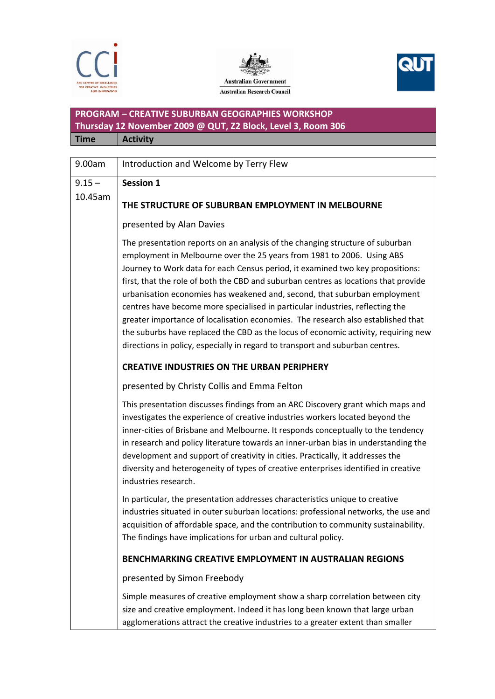





### **PROGRAM – CREATIVE SUBURBAN GEOGRAPHIES WORKSHOP Thursday 12 November 2009 @ QUT, Z2 Block, Level 3, Room 306 Time Activity**

| 9.00am   | Introduction and Welcome by Terry Flew                                                                                                                                                                                                                                                                                                                                                                                                                                                                                                                                                                                                                                                                                                                    |
|----------|-----------------------------------------------------------------------------------------------------------------------------------------------------------------------------------------------------------------------------------------------------------------------------------------------------------------------------------------------------------------------------------------------------------------------------------------------------------------------------------------------------------------------------------------------------------------------------------------------------------------------------------------------------------------------------------------------------------------------------------------------------------|
| $9.15 -$ | <b>Session 1</b>                                                                                                                                                                                                                                                                                                                                                                                                                                                                                                                                                                                                                                                                                                                                          |
| 10.45am  | THE STRUCTURE OF SUBURBAN EMPLOYMENT IN MELBOURNE                                                                                                                                                                                                                                                                                                                                                                                                                                                                                                                                                                                                                                                                                                         |
|          | presented by Alan Davies                                                                                                                                                                                                                                                                                                                                                                                                                                                                                                                                                                                                                                                                                                                                  |
|          | The presentation reports on an analysis of the changing structure of suburban<br>employment in Melbourne over the 25 years from 1981 to 2006. Using ABS<br>Journey to Work data for each Census period, it examined two key propositions:<br>first, that the role of both the CBD and suburban centres as locations that provide<br>urbanisation economies has weakened and, second, that suburban employment<br>centres have become more specialised in particular industries, reflecting the<br>greater importance of localisation economies. The research also established that<br>the suburbs have replaced the CBD as the locus of economic activity, requiring new<br>directions in policy, especially in regard to transport and suburban centres. |
|          | <b>CREATIVE INDUSTRIES ON THE URBAN PERIPHERY</b>                                                                                                                                                                                                                                                                                                                                                                                                                                                                                                                                                                                                                                                                                                         |
|          | presented by Christy Collis and Emma Felton                                                                                                                                                                                                                                                                                                                                                                                                                                                                                                                                                                                                                                                                                                               |
|          | This presentation discusses findings from an ARC Discovery grant which maps and<br>investigates the experience of creative industries workers located beyond the<br>inner-cities of Brisbane and Melbourne. It responds conceptually to the tendency<br>in research and policy literature towards an inner-urban bias in understanding the<br>development and support of creativity in cities. Practically, it addresses the<br>diversity and heterogeneity of types of creative enterprises identified in creative<br>industries research.                                                                                                                                                                                                               |
|          | In particular, the presentation addresses characteristics unique to creative<br>industries situated in outer suburban locations: professional networks, the use and<br>acquisition of affordable space, and the contribution to community sustainability.<br>The findings have implications for urban and cultural policy.                                                                                                                                                                                                                                                                                                                                                                                                                                |
|          | BENCHMARKING CREATIVE EMPLOYMENT IN AUSTRALIAN REGIONS                                                                                                                                                                                                                                                                                                                                                                                                                                                                                                                                                                                                                                                                                                    |
|          | presented by Simon Freebody                                                                                                                                                                                                                                                                                                                                                                                                                                                                                                                                                                                                                                                                                                                               |
|          | Simple measures of creative employment show a sharp correlation between city<br>size and creative employment. Indeed it has long been known that large urban<br>agglomerations attract the creative industries to a greater extent than smaller                                                                                                                                                                                                                                                                                                                                                                                                                                                                                                           |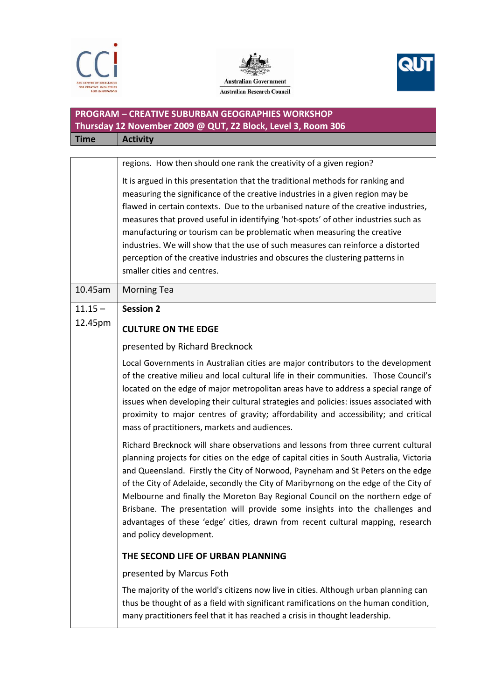





## **PROGRAM – CREATIVE SUBURBAN GEOGRAPHIES WORKSHOP Thursday 12 November 2009 @ QUT, Z2 Block, Level 3, Room 306 Time Activity**

|           | regions. How then should one rank the creativity of a given region?                                                                                                                                                                                                                                                                                                                                                                                                                                                                                                                                                                      |
|-----------|------------------------------------------------------------------------------------------------------------------------------------------------------------------------------------------------------------------------------------------------------------------------------------------------------------------------------------------------------------------------------------------------------------------------------------------------------------------------------------------------------------------------------------------------------------------------------------------------------------------------------------------|
|           | It is argued in this presentation that the traditional methods for ranking and<br>measuring the significance of the creative industries in a given region may be<br>flawed in certain contexts. Due to the urbanised nature of the creative industries,<br>measures that proved useful in identifying 'hot-spots' of other industries such as<br>manufacturing or tourism can be problematic when measuring the creative<br>industries. We will show that the use of such measures can reinforce a distorted<br>perception of the creative industries and obscures the clustering patterns in<br>smaller cities and centres.             |
| 10.45am   | <b>Morning Tea</b>                                                                                                                                                                                                                                                                                                                                                                                                                                                                                                                                                                                                                       |
| $11.15 -$ | <b>Session 2</b>                                                                                                                                                                                                                                                                                                                                                                                                                                                                                                                                                                                                                         |
| 12.45pm   | <b>CULTURE ON THE EDGE</b>                                                                                                                                                                                                                                                                                                                                                                                                                                                                                                                                                                                                               |
|           | presented by Richard Brecknock                                                                                                                                                                                                                                                                                                                                                                                                                                                                                                                                                                                                           |
|           | Local Governments in Australian cities are major contributors to the development<br>of the creative milieu and local cultural life in their communities. Those Council's<br>located on the edge of major metropolitan areas have to address a special range of<br>issues when developing their cultural strategies and policies: issues associated with<br>proximity to major centres of gravity; affordability and accessibility; and critical<br>mass of practitioners, markets and audiences.                                                                                                                                         |
|           | Richard Brecknock will share observations and lessons from three current cultural<br>planning projects for cities on the edge of capital cities in South Australia, Victoria<br>and Queensland. Firstly the City of Norwood, Payneham and St Peters on the edge<br>of the City of Adelaide, secondly the City of Maribyrnong on the edge of the City of<br>Melbourne and finally the Moreton Bay Regional Council on the northern edge of<br>Brisbane. The presentation will provide some insights into the challenges and<br>advantages of these 'edge' cities, drawn from recent cultural mapping, research<br>and policy development. |
|           | THE SECOND LIFE OF URBAN PLANNING                                                                                                                                                                                                                                                                                                                                                                                                                                                                                                                                                                                                        |
|           | presented by Marcus Foth                                                                                                                                                                                                                                                                                                                                                                                                                                                                                                                                                                                                                 |
|           | The majority of the world's citizens now live in cities. Although urban planning can<br>thus be thought of as a field with significant ramifications on the human condition,<br>many practitioners feel that it has reached a crisis in thought leadership.                                                                                                                                                                                                                                                                                                                                                                              |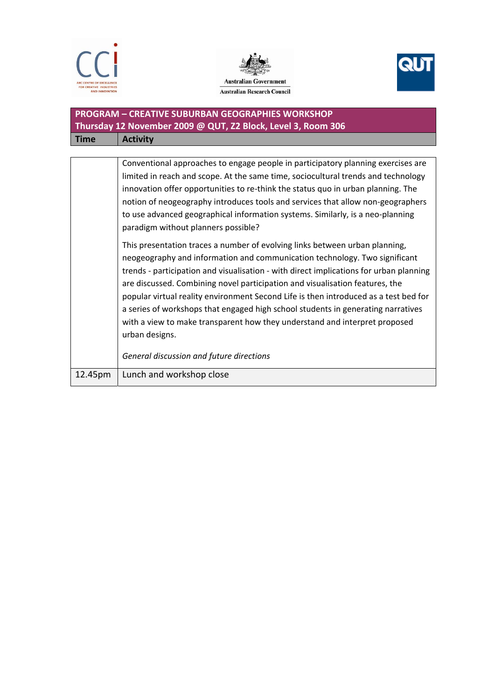





## **PROGRAM – CREATIVE SUBURBAN GEOGRAPHIES WORKSHOP Thursday 12 November 2009 @ QUT, Z2 Block, Level 3, Room 306 Time Activity**

| 12.45pm | Lunch and workshop close                                                               |
|---------|----------------------------------------------------------------------------------------|
|         | General discussion and future directions                                               |
|         | urban designs.                                                                         |
|         | with a view to make transparent how they understand and interpret proposed             |
|         | a series of workshops that engaged high school students in generating narratives       |
|         | popular virtual reality environment Second Life is then introduced as a test bed for   |
|         | are discussed. Combining novel participation and visualisation features, the           |
|         | trends - participation and visualisation - with direct implications for urban planning |
|         | neogeography and information and communication technology. Two significant             |
|         | This presentation traces a number of evolving links between urban planning,            |
|         | paradigm without planners possible?                                                    |
|         | to use advanced geographical information systems. Similarly, is a neo-planning         |
|         | notion of neogeography introduces tools and services that allow non-geographers        |
|         | innovation offer opportunities to re-think the status quo in urban planning. The       |
|         | limited in reach and scope. At the same time, sociocultural trends and technology      |
|         | Conventional approaches to engage people in participatory planning exercises are       |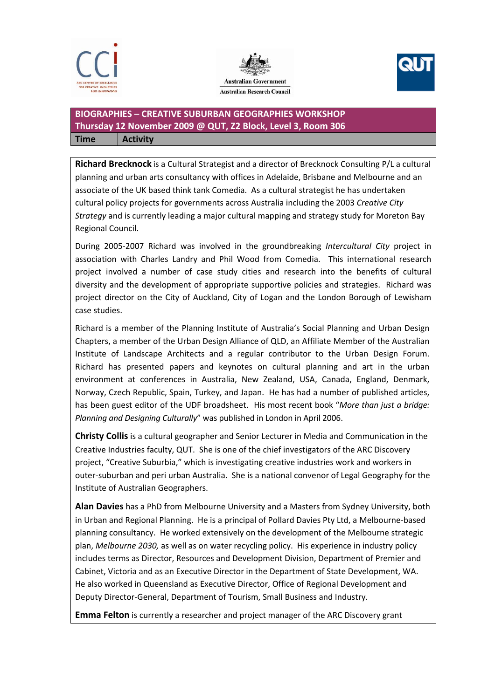





### **BIOGRAPHIES – CREATIVE SUBURBAN GEOGRAPHIES WORKSHOP Thursday 12 November 2009 @ QUT, Z2 Block, Level 3, Room 306 Time Activity**

**Richard Brecknock** is a Cultural Strategist and a director of Brecknock Consulting P/L a cultural planning and urban arts consultancy with offices in Adelaide, Brisbane and Melbourne and an associate of the UK based think tank Comedia. As a cultural strategist he has undertaken cultural policy projects for governments across Australia including the 2003 *Creative City Strategy* and is currently leading a major cultural mapping and strategy study for Moreton Bay Regional Council.

During 2005‐2007 Richard was involved in the groundbreaking *Intercultural City* project in association with Charles Landry and Phil Wood from Comedia. This international research project involved a number of case study cities and research into the benefits of cultural diversity and the development of appropriate supportive policies and strategies. Richard was project director on the City of Auckland, City of Logan and the London Borough of Lewisham case studies.

Richard is a member of the Planning Institute of Australia's Social Planning and Urban Design Chapters, a member of the Urban Design Alliance of QLD, an Affiliate Member of the Australian Institute of Landscape Architects and a regular contributor to the Urban Design Forum. Richard has presented papers and keynotes on cultural planning and art in the urban environment at conferences in Australia, New Zealand, USA, Canada, England, Denmark, Norway, Czech Republic, Spain, Turkey, and Japan. He has had a number of published articles, has been guest editor of the UDF broadsheet. His most recent book "*More than just a bridge: Planning and Designing Culturally*" was published in London in April 2006.

**Christy Collis** is a cultural geographer and Senior Lecturer in Media and Communication in the Creative Industries faculty, QUT. She is one of the chief investigators of the ARC Discovery project, "Creative Suburbia," which is investigating creative industries work and workers in outer‐suburban and peri urban Australia. She is a national convenor of Legal Geography for the Institute of Australian Geographers.

**Alan Davies** has a PhD from Melbourne University and a Masters from Sydney University, both in Urban and Regional Planning. He is a principal of Pollard Davies Pty Ltd, a Melbourne‐based planning consultancy. He worked extensively on the development of the Melbourne strategic plan, *Melbourne 2030,* as well as on water recycling policy. His experience in industry policy includes terms as Director, Resources and Development Division, Department of Premier and Cabinet, Victoria and as an Executive Director in the Department of State Development, WA. He also worked in Queensland as Executive Director, Office of Regional Development and Deputy Director‐General, Department of Tourism, Small Business and Industry.

**Emma Felton** is currently a researcher and project manager of the ARC Discovery grant